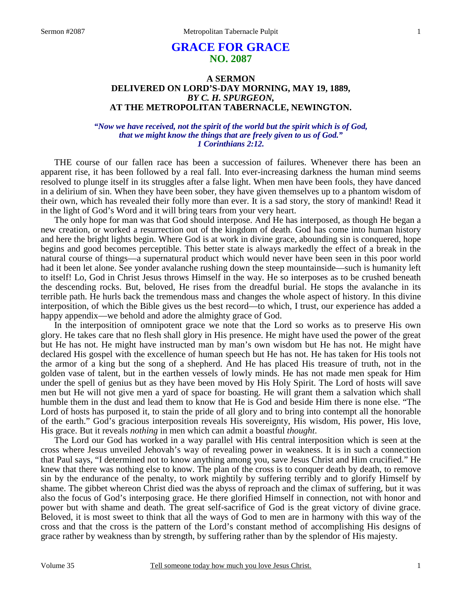# **GRACE FOR GRACE NO. 2087**

# **A SERMON DELIVERED ON LORD'S-DAY MORNING, MAY 19, 1889,**  *BY C. H. SPURGEON,*  **AT THE METROPOLITAN TABERNACLE, NEWINGTON.**

### *"Now we have received, not the spirit of the world but the spirit which is of God, that we might know the things that are freely given to us of God." 1 Corinthians 2:12.*

THE course of our fallen race has been a succession of failures. Whenever there has been an apparent rise, it has been followed by a real fall. Into ever-increasing darkness the human mind seems resolved to plunge itself in its struggles after a false light. When men have been fools, they have danced in a delirium of sin. When they have been sober, they have given themselves up to a phantom wisdom of their own, which has revealed their folly more than ever. It is a sad story, the story of mankind! Read it in the light of God's Word and it will bring tears from your very heart.

The only hope for man was that God should interpose. And He has interposed, as though He began a new creation, or worked a resurrection out of the kingdom of death. God has come into human history and here the bright lights begin. Where God is at work in divine grace, abounding sin is conquered, hope begins and good becomes perceptible. This better state is always markedly the effect of a break in the natural course of things—a supernatural product which would never have been seen in this poor world had it been let alone. See yonder avalanche rushing down the steep mountainside—such is humanity left to itself! Lo, God in Christ Jesus throws Himself in the way. He so interposes as to be crushed beneath the descending rocks. But, beloved, He rises from the dreadful burial. He stops the avalanche in its terrible path. He hurls back the tremendous mass and changes the whole aspect of history. In this divine interposition, of which the Bible gives us the best record—to which, I trust, our experience has added a happy appendix—we behold and adore the almighty grace of God.

In the interposition of omnipotent grace we note that the Lord so works as to preserve His own glory. He takes care that no flesh shall glory in His presence. He might have used the power of the great but He has not. He might have instructed man by man's own wisdom but He has not. He might have declared His gospel with the excellence of human speech but He has not. He has taken for His tools not the armor of a king but the song of a shepherd. And He has placed His treasure of truth, not in the golden vase of talent, but in the earthen vessels of lowly minds. He has not made men speak for Him under the spell of genius but as they have been moved by His Holy Spirit. The Lord of hosts will save men but He will not give men a yard of space for boasting. He will grant them a salvation which shall humble them in the dust and lead them to know that He is God and beside Him there is none else. "The Lord of hosts has purposed it, to stain the pride of all glory and to bring into contempt all the honorable of the earth." God's gracious interposition reveals His sovereignty, His wisdom, His power, His love, His grace. But it reveals *nothing* in men which can admit a boastful *thought*.

The Lord our God has worked in a way parallel with His central interposition which is seen at the cross where Jesus unveiled Jehovah's way of revealing power in weakness. It is in such a connection that Paul says, "I determined not to know anything among you, save Jesus Christ and Him crucified." He knew that there was nothing else to know. The plan of the cross is to conquer death by death, to remove sin by the endurance of the penalty, to work mightily by suffering terribly and to glorify Himself by shame. The gibbet whereon Christ died was the abyss of reproach and the climax of suffering, but it was also the focus of God's interposing grace. He there glorified Himself in connection, not with honor and power but with shame and death. The great self-sacrifice of God is the great victory of divine grace. Beloved, it is most sweet to think that all the ways of God to men are in harmony with this way of the cross and that the cross is the pattern of the Lord's constant method of accomplishing His designs of grace rather by weakness than by strength, by suffering rather than by the splendor of His majesty.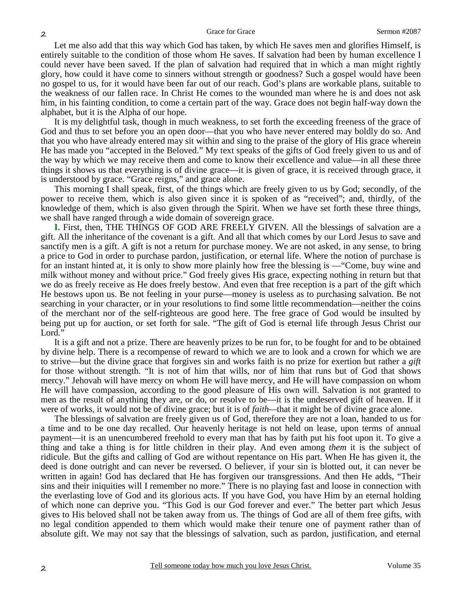Let me also add that this way which God has taken, by which He saves men and glorifies Himself, is entirely suitable to the condition of those whom He saves. If salvation had been by human excellence I could never have been saved. If the plan of salvation had required that in which a man might rightly glory, how could it have come to sinners without strength or goodness? Such a gospel would have been no gospel to us, for it would have been far out of our reach. God's plans are workable plans, suitable to the weakness of our fallen race. In Christ He comes to the wounded man where he is and does not ask him, in his fainting condition, to come a certain part of the way. Grace does not begin half-way down the alphabet, but it is the Alpha of our hope.

It is my delightful task, though in much weakness, to set forth the exceeding freeness of the grace of God and thus to set before you an open door—that you who have never entered may boldly do so. And that you who have already entered may sit within and sing to the praise of the glory of His grace wherein He has made you "accepted in the Beloved." My text speaks of the gifts of God freely given to us and of the way by which we may receive them and come to know their excellence and value—in all these three things it shows us that everything is of divine grace—it is given of grace, it is received through grace, it is understood by grace. "Grace reigns," and grace alone.

This morning I shall speak, first, of the things which are freely given to us by God; secondly, of the power to receive them, which is also given since it is spoken of as "received"; and, thirdly, of the knowledge of them, which is also given through the Spirit. When we have set forth these three things, we shall have ranged through a wide domain of sovereign grace.

**I.** First, then, THE THINGS OF GOD ARE FREELY GIVEN. All the blessings of salvation are a gift. All the inheritance of the covenant is a gift. And all that which comes by our Lord Jesus to save and sanctify men is a gift. A gift is not a return for purchase money. We are not asked, in any sense, to bring a price to God in order to purchase pardon, justification, or eternal life. Where the notion of purchase is for an instant hinted at, it is only to show more plainly how free the blessing is —"Come, buy wine and milk without money and without price." God freely gives His grace, expecting nothing in return but that we do as freely receive as He does freely bestow. And even that free reception is a part of the gift which He bestows upon us. Be not feeling in your purse—money is useless as to purchasing salvation. Be not searching in your character, or in your resolutions to find some little recommendation—neither the coins of the merchant nor of the self-righteous are good here. The free grace of God would be insulted by being put up for auction, or set forth for sale. "The gift of God is eternal life through Jesus Christ our Lord."

It is a gift and not a prize. There are heavenly prizes to be run for, to be fought for and to be obtained by divine help. There is a recompense of reward to which we are to look and a crown for which we are to strive—but the divine grace that forgives sin and works faith is no prize for exertion but rather a *gift* for those without strength. "It is not of him that wills, nor of him that runs but of God that shows mercy." Jehovah will have mercy on whom He will have mercy, and He will have compassion on whom He will have compassion, according to the good pleasure of His own will. Salvation is not granted to men as the result of anything they are, or do, or resolve to be—it is the undeserved gift of heaven. If it were of works, it would not be of divine grace; but it is of *faith—*that it might be of divine grace alone.

The blessings of salvation are freely given us of God, therefore they are not a loan, handed to us for a time and to be one day recalled. Our heavenly heritage is not held on lease, upon terms of annual payment—it is an unencumbered freehold to every man that has by faith put his foot upon it. To give a thing and take a thing is for little children in their play. And even among *them* it is the subject of ridicule. But the gifts and calling of God are without repentance on His part. When He has given it, the deed is done outright and can never be reversed. O believer, if your sin is blotted out, it can never be written in again! God has declared that He has forgiven our transgressions. And then He adds, "Their sins and their iniquities will I remember no more." There is no playing fast and loose in connection with the everlasting love of God and its glorious acts. If you have God, you have Him by an eternal holding of which none can deprive you. "This God is our God forever and ever." The better part which Jesus gives to His beloved shall not be taken away from us. The things of God are all of them free gifts, with no legal condition appended to them which would make their tenure one of payment rather than of absolute gift. We may not say that the blessings of salvation, such as pardon, justification, and eternal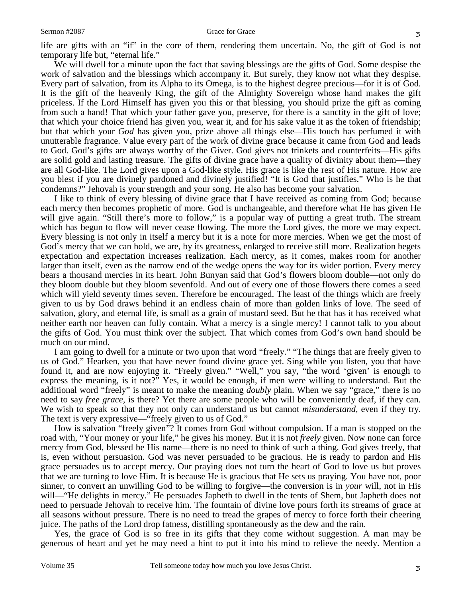#### Sermon #2087 Grace for Grace for Grace

life are gifts with an "if" in the core of them, rendering them uncertain. No, the gift of God is not temporary life but, "eternal life."

We will dwell for a minute upon the fact that saving blessings are the gifts of God. Some despise the work of salvation and the blessings which accompany it. But surely, they know not what they despise. Every part of salvation, from its Alpha to its Omega, is to the highest degree precious—for it is of God. It is the gift of the heavenly King, the gift of the Almighty Sovereign whose hand makes the gift priceless. If the Lord Himself has given you this or that blessing, you should prize the gift as coming from such a hand! That which your father gave you, preserve, for there is a sanctity in the gift of love; that which your choice friend has given you, wear it, and for his sake value it as the token of friendship; but that which your *God* has given you, prize above all things else—His touch has perfumed it with unutterable fragrance. Value every part of the work of divine grace because it came from God and leads to God. God's gifts are always worthy of the Giver. God gives not trinkets and counterfeits—His gifts are solid gold and lasting treasure. The gifts of divine grace have a quality of divinity about them—they are all God-like. The Lord gives upon a God-like style. His grace is like the rest of His nature. How are you blest if you are divinely pardoned and divinely justified! "It is God that justifies." Who is he that condemns?" Jehovah is your strength and your song. He also has become your salvation.

I like to think of every blessing of divine grace that I have received as coming from God; because each mercy then becomes prophetic of more. God is unchangeable, and therefore what He has given He will give again. "Still there's more to follow," is a popular way of putting a great truth. The stream which has begun to flow will never cease flowing. The more the Lord gives, the more we may expect. Every blessing is not only in itself a mercy but it is a note for more mercies. When we get the most of God's mercy that we can hold, we are, by its greatness, enlarged to receive still more. Realization begets expectation and expectation increases realization. Each mercy, as it comes, makes room for another larger than itself, even as the narrow end of the wedge opens the way for its wider portion. Every mercy bears a thousand mercies in its heart. John Bunyan said that God's flowers bloom double—not only do they bloom double but they bloom sevenfold. And out of every one of those flowers there comes a seed which will yield seventy times seven. Therefore be encouraged. The least of the things which are freely given to us by God draws behind it an endless chain of more than golden links of love. The seed of salvation, glory, and eternal life, is small as a grain of mustard seed. But he that has it has received what neither earth nor heaven can fully contain. What a mercy is a single mercy! I cannot talk to you about the gifts of God. You must think over the subject. That which comes from God's own hand should be much on our mind.

I am going to dwell for a minute or two upon that word "freely." "The things that are freely given to us of God." Hearken, you that have never found divine grace yet. Sing while you listen, you that have found it, and are now enjoying it. "Freely given." "Well," you say, "the word 'given' is enough to express the meaning, is it not?" Yes, it would be enough, if men were willing to understand. But the additional word "freely" is meant to make the meaning *doubly* plain. When we say "grace," there is no need to say *free grace,* is there? Yet there are some people who will be conveniently deaf, if they can. We wish to speak so that they not only can understand us but cannot *misunderstand,* even if they try. The text is very expressive—"freely given to us of God."

How is salvation "freely given"? It comes from God without compulsion. If a man is stopped on the road with, "Your money or your life," he gives his money. But it is not *freely* given. Now none can force mercy from God, blessed be His name—there is no need to think of such a thing. God gives freely, that is, even without persuasion. God was never persuaded to be gracious. He is ready to pardon and His grace persuades us to accept mercy. Our praying does not turn the heart of God to love us but proves that we are turning to love Him. It is because He is gracious that He sets us praying. You have not, poor sinner, to convert an unwilling God to be willing to forgive—the conversion is in *your* will, not in His will—"He delights in mercy." He persuades Japheth to dwell in the tents of Shem, but Japheth does not need to persuade Jehovah to receive him. The fountain of divine love pours forth its streams of grace at all seasons without pressure. There is no need to tread the grapes of mercy to force forth their cheering juice. The paths of the Lord drop fatness, distilling spontaneously as the dew and the rain.

Yes, the grace of God is so free in its gifts that they come without suggestion. A man may be generous of heart and yet he may need a hint to put it into his mind to relieve the needy. Mention a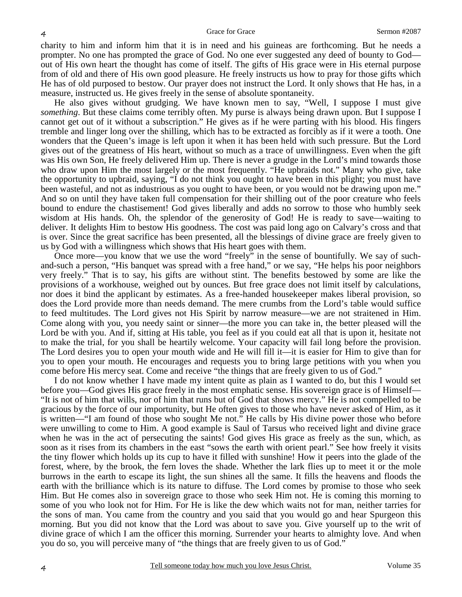charity to him and inform him that it is in need and his guineas are forthcoming. But he needs a prompter. No one has prompted the grace of God. No one ever suggested any deed of bounty to God out of His own heart the thought has come of itself. The gifts of His grace were in His eternal purpose from of old and there of His own good pleasure. He freely instructs us how to pray for those gifts which He has of old purposed to bestow. Our prayer does not instruct the Lord. It only shows that He has, in a measure, instructed us. He gives freely in the sense of absolute spontaneity.

He also gives without grudging. We have known men to say, "Well, I suppose I must give *something*. But these claims come terribly often. My purse is always being drawn upon. But I suppose I cannot get out of it without a subscription." He gives as if he were parting with his blood. His fingers tremble and linger long over the shilling, which has to be extracted as forcibly as if it were a tooth. One wonders that the Queen's image is left upon it when it has been held with such pressure. But the Lord gives out of the greatness of His heart, without so much as a trace of unwillingness. Even when the gift was His own Son, He freely delivered Him up. There is never a grudge in the Lord's mind towards those who draw upon Him the most largely or the most frequently. "He upbraids not." Many who give, take the opportunity to upbraid, saying, "I do not think you ought to have been in this plight; you must have been wasteful, and not as industrious as you ought to have been, or you would not be drawing upon me." And so on until they have taken full compensation for their shilling out of the poor creature who feels bound to endure the chastisement! God gives liberally and adds no sorrow to those who humbly seek wisdom at His hands. Oh, the splendor of the generosity of God! He is ready to save—waiting to deliver. It delights Him to bestow His goodness. The cost was paid long ago on Calvary's cross and that is over. Since the great sacrifice has been presented, all the blessings of divine grace are freely given to us by God with a willingness which shows that His heart goes with them.

Once more—you know that we use the word "freely" in the sense of bountifully. We say of suchand-such a person, "His banquet was spread with a free hand," or we say, "He helps his poor neighbors very freely." That is to say, his gifts are without stint. The benefits bestowed by some are like the provisions of a workhouse, weighed out by ounces. But free grace does not limit itself by calculations, nor does it bind the applicant by estimates. As a free-handed housekeeper makes liberal provision, so does the Lord provide more than needs demand. The mere crumbs from the Lord's table would suffice to feed multitudes. The Lord gives not His Spirit by narrow measure—we are not straitened in Him. Come along with you, you needy saint or sinner—the more you can take in, the better pleased will the Lord be with you. And if, sitting at His table, you feel as if you could eat all that is upon it, hesitate not to make the trial, for you shall be heartily welcome. Your capacity will fail long before the provision. The Lord desires you to open your mouth wide and He will fill it—it is easier for Him to give than for you to open your mouth. He encourages and requests you to bring large petitions with you when you come before His mercy seat. Come and receive "the things that are freely given to us of God."

I do not know whether I have made my intent quite as plain as I wanted to do, but this I would set before you—God gives His grace freely in the most emphatic sense. His sovereign grace is of Himself— "It is not of him that wills, nor of him that runs but of God that shows mercy." He is not compelled to be gracious by the force of our importunity, but He often gives to those who have never asked of Him, as it is written—"I am found of those who sought Me not." He calls by His divine power those who before were unwilling to come to Him. A good example is Saul of Tarsus who received light and divine grace when he was in the act of persecuting the saints! God gives His grace as freely as the sun, which, as soon as it rises from its chambers in the east "sows the earth with orient pearl." See how freely it visits the tiny flower which holds up its cup to have it filled with sunshine! How it peers into the glade of the forest, where, by the brook, the fern loves the shade. Whether the lark flies up to meet it or the mole burrows in the earth to escape its light, the sun shines all the same. It fills the heavens and floods the earth with the brilliance which is its nature to diffuse. The Lord comes by promise to those who seek Him. But He comes also in sovereign grace to those who seek Him not. He is coming this morning to some of you who look not for Him. For He is like the dew which waits not for man, neither tarries for the sons of man. You came from the country and you said that you would go and hear Spurgeon this morning. But you did not know that the Lord was about to save you. Give yourself up to the writ of divine grace of which I am the officer this morning. Surrender your hearts to almighty love. And when you do so, you will perceive many of "the things that are freely given to us of God."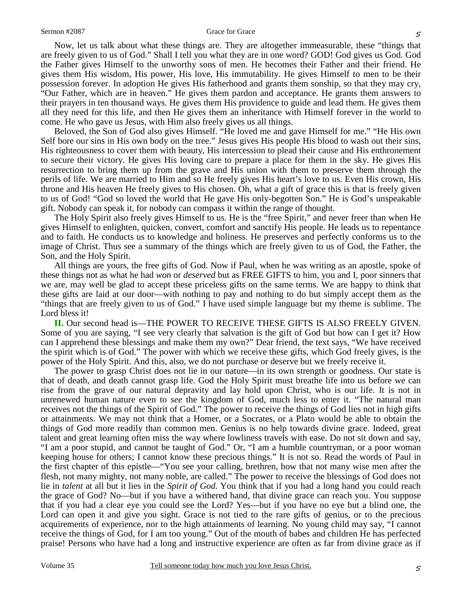#### Sermon #2087 Grace for Grace for Grace

Now, let us talk about what these things are. They are altogether immeasurable, these "things that are freely given to us of God." Shall I tell you what they are in one word? GOD! God gives us God. God the Father gives Himself to the unworthy sons of men. He becomes their Father and their friend. He gives them His wisdom, His power, His love, His immutability. He gives Himself to men to be their possession forever. In adoption He gives His fatherhood and grants them sonship, so that they may cry, "Our Father, which are in heaven." He gives them pardon and acceptance. He grants them answers to their prayers in ten thousand ways. He gives them His providence to guide and lead them. He gives them all they need for this life, and then He gives them an inheritance with Himself forever in the world to come. He who gave us Jesus, with Him also freely gives us all things.

Beloved, the Son of God also gives Himself. "He loved me and gave Himself for me." "He His own Self bore our sins in His own body on the tree." Jesus gives His people His blood to wash out their sins, His righteousness to cover them with beauty, His intercession to plead their cause and His enthronement to secure their victory. He gives His loving care to prepare a place for them in the sky. He gives His resurrection to bring them up from the grave and His union with them to preserve them through the perils of life. We are married to Him and so He freely gives His heart's love to us. Even His crown, His throne and His heaven He freely gives to His chosen. Oh, what a gift of grace this is that is freely given to us of God! "God so loved the world that He gave His only-begotten Son." He is God's unspeakable gift. Nobody can speak it, for nobody can compass it within the range of thought.

The Holy Spirit also freely gives Himself to us. He is the "free Spirit," and never freer than when He gives Himself to enlighten, quicken, convert, comfort and sanctify His people. He leads us to repentance and to faith. He conducts us to knowledge and holiness. He preserves and perfectly conforms us to the image of Christ. Thus see a summary of the things which are freely given to us of God, the Father, the Son, and the Holy Spirit.

All things are yours, the free gifts of God. Now if Paul, when he was writing as an apostle, spoke of these things not as what he had *won* or *deserved* but as FREE GIFTS to him, you and I, poor sinners that we are, may well be glad to accept these priceless gifts on the same terms. We are happy to think that these gifts are laid at our door—with nothing to pay and nothing to do but simply accept them as the "things that are freely given to us of God." I have used simple language but my theme is sublime. The Lord bless it!

**II.** Our second head is—THE POWER TO RECEIVE THESE GIFTS IS ALSO FREELY GIVEN. Some of you are saying, "I see very clearly that salvation is the gift of God but how can I get it? How can I apprehend these blessings and make them my own?" Dear friend, the text says, "We have received the spirit which is of God." The power with which we receive these gifts, which God freely gives, is the power of the Holy Spirit. And this, also, we do not purchase or deserve but we freely receive it.

The power to grasp Christ does not lie in our nature—in its own strength or goodness. Our state is that of death, and death cannot grasp life. God the Holy Spirit must breathe life into us before we can rise from the grave of our natural depravity and lay hold upon Christ, who is our life. It is not in unrenewed human nature even to *see* the kingdom of God, much less to enter it. "The natural man receives not the things of the Spirit of God." The power to receive the things of God lies not in high gifts or attainments. We may not think that a Homer, or a Socrates, or a Plato would be able to obtain the things of God more readily than common men. Genius is no help towards divine grace. Indeed, great talent and great learning often miss the way where lowliness travels with ease. Do not sit down and say, "I am a poor stupid, and cannot be taught of God." Or, "I am a humble countryman, or a poor woman keeping house for others; I cannot know these precious things." It is not so. Read the words of Paul in the first chapter of this epistle—"You see your calling, brethren, how that not many wise men after the flesh, not many mighty, not many noble, are called." The power to receive the blessings of God does not lie in *talent* at all but it lies in the *Spirit of God*. You think that if you had a long hand you could reach the grace of God? No—but if you have a withered hand, that divine grace can reach you. You suppose that if you had a clear eye you could see the Lord? Yes—but if you have no eye but a blind one, the Lord can open it and give you sight. Grace is not tied to the rare gifts of genius, or to the precious acquirements of experience, nor to the high attainments of learning. No young child may say, "I cannot receive the things of God, for I am too young." Out of the mouth of babes and children He has perfected praise! Persons who have had a long and instructive experience are often as far from divine grace as if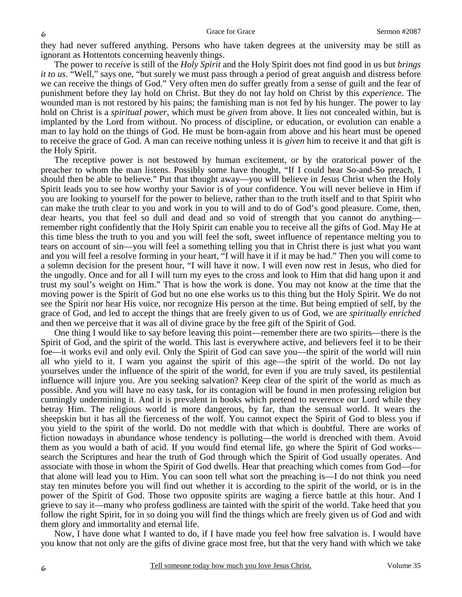they had never suffered anything. Persons who have taken degrees at the university may be still as ignorant as Hottentots concerning heavenly things.

The power to *receive* is still of the *Holy Spirit* and the Holy Spirit does not find good in us but *brings it to us*. "Well," says one, "but surely we must pass through a period of great anguish and distress before we can receive the things of God." Very often men do suffer greatly from a sense of guilt and the fear of punishment before they lay hold on Christ. But they do not lay hold on Christ by this *experience*. The wounded man is not restored by his pains; the famishing man is not fed by his hunger. The power to lay hold on Christ is a *spiritual power*, which must be *given* from above. It lies not concealed within, but is implanted by the Lord from without. No process of discipline, or education, or evolution can enable a man to lay hold on the things of God. He must be born-again from above and his heart must be opened to receive the grace of God. A man can receive nothing unless it is *given* him to receive it and that gift is the Holy Spirit.

The receptive power is not bestowed by human excitement, or by the oratorical power of the preacher to whom the man listens. Possibly some have thought, "If I could hear So-and-So preach, I should then be able to believe." Put that thought away—you will believe in Jesus Christ when the Holy Spirit leads you to see how worthy your Savior is of your confidence. You will never believe in Him if you are looking to yourself for the power to believe, rather than to the truth itself and to that Spirit who can make the truth clear to you and work in you to will and to do of God's good pleasure. Come, then, dear hearts, you that feel so dull and dead and so void of strength that you cannot do anything remember right confidently that the Holy Spirit can enable you to receive all the gifts of God. May He at this time bless the truth to you and you will feel the soft, sweet influence of repentance melting you to tears on account of sin—you will feel a something telling you that in Christ there is just what you want and you will feel a resolve forming in your heart, "I will have it if it may be had." Then you will come to a solemn decision for the present hour, "I will have it now. I will even now rest in Jesus, who died for the ungodly. Once and for all I will turn my eyes to the cross and look to Him that did hang upon it and trust my soul's weight on Him." That is how the work is done. You may not know at the time that the moving power is the Spirit of God but no one else works us to this thing but the Holy Spirit. We do not see the Spirit nor hear His voice, nor recognize His person at the time. But being emptied of self, by the grace of God, and led to accept the things that are freely given to us of God, we are *spiritually enriched* and then we perceive that it was all of divine grace by the free gift of the Spirit of God.

One thing I would like to say before leaving this point—remember there are two spirits—there is the Spirit of God, and the spirit of the world. This last is everywhere active, and believers feel it to be their foe—it works evil and only evil. Only the Spirit of God can save you—the spirit of the world will ruin all who yield to it. I warn you against the spirit of this age—the spirit of the world. Do not lay yourselves under the influence of the spirit of the world, for even if you are truly saved, its pestilential influence will injure you. Are you seeking salvation? Keep clear of the spirit of the world as much as possible. And you will have no easy task, for its contagion will be found in men professing religion but cunningly undermining it. And it is prevalent in books which pretend to reverence our Lord while they betray Him. The religious world is more dangerous, by far, than the sensual world. It wears the sheepskin but it has all the fierceness of the wolf. You cannot expect the Spirit of God to bless you if you yield to the spirit of the world. Do not meddle with that which is doubtful. There are works of fiction nowadays in abundance whose tendency is polluting—the world is drenched with them. Avoid them as you would a bath of acid. If you would find eternal life, go where the Spirit of God works search the Scriptures and hear the truth of God through which the Spirit of God usually operates. And associate with those in whom the Spirit of God dwells. Hear that preaching which comes from God—for that alone will lead you to Him. You can soon tell what sort the preaching is—I do not think you need stay ten minutes before you will find out whether it is according to the spirit of the world, or is in the power of the Spirit of God. Those two opposite spirits are waging a fierce battle at this hour. And I grieve to say it—many who profess godliness are tainted with the spirit of the world. Take heed that you follow the right Spirit, for in so doing you will find the things which are freely given us of God and with them glory and immortality and eternal life.

Now, I have done what I wanted to do, if I have made you feel how free salvation is. I would have you know that not only are the gifts of divine grace most free, but that the very hand with which we take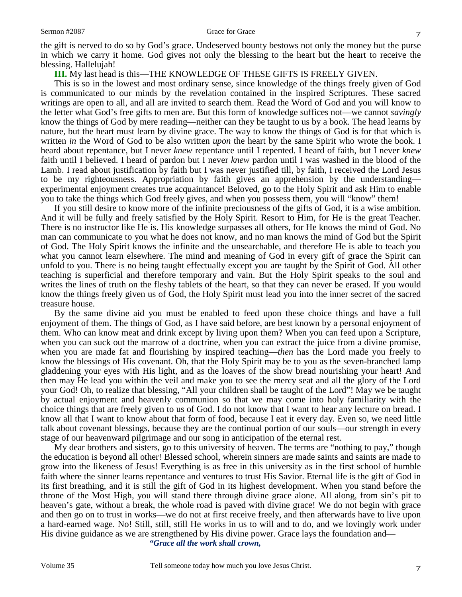#### Sermon #2087 Grace for Grace for Grace

the gift is nerved to do so by God's grace. Undeserved bounty bestows not only the money but the purse in which we carry it home. God gives not only the blessing to the heart but the heart to receive the blessing. Hallelujah!

**III.** My last head is this—THE KNOWLEDGE OF THESE GIFTS IS FREELY GIVEN.

This is so in the lowest and most ordinary sense, since knowledge of the things freely given of God is communicated to our minds by the revelation contained in the inspired Scriptures. These sacred writings are open to all, and all are invited to search them. Read the Word of God and you will know to the letter what God's free gifts to men are. But this form of knowledge suffices not—we cannot *savingly* know the things of God by mere reading—neither can they be taught to us by a book. The head learns by nature, but the heart must learn by divine grace. The way to know the things of God is for that which is written *in* the Word of God to be also written *upon* the heart by the same Spirit who wrote the book. I heard about repentance, but I never *knew* repentance until I repented. I heard of faith, but I never *knew* faith until I believed. I heard of pardon but I never *knew* pardon until I was washed in the blood of the Lamb. I read about justification by faith but I was never justified till, by faith, I received the Lord Jesus to be my righteousness. Appropriation by faith gives an apprehension by the understanding experimental enjoyment creates true acquaintance! Beloved, go to the Holy Spirit and ask Him to enable you to take the things which God freely gives, and when you possess them, you will "know" them!

If you still desire to know more of the infinite preciousness of the gifts of God, it is a wise ambition. And it will be fully and freely satisfied by the Holy Spirit. Resort to Him, for He is the great Teacher. There is no instructor like He is. His knowledge surpasses all others, for He knows the mind of God. No man can communicate to you what he does not know, and no man knows the mind of God but the Spirit of God. The Holy Spirit knows the infinite and the unsearchable, and therefore He is able to teach you what you cannot learn elsewhere. The mind and meaning of God in every gift of grace the Spirit can unfold to you. There is no being taught effectually except you are taught by the Spirit of God. All other teaching is superficial and therefore temporary and vain. But the Holy Spirit speaks to the soul and writes the lines of truth on the fleshy tablets of the heart, so that they can never be erased. If you would know the things freely given us of God, the Holy Spirit must lead you into the inner secret of the sacred treasure house.

By the same divine aid you must be enabled to feed upon these choice things and have a full enjoyment of them. The things of God, as I have said before, are best known by a personal enjoyment of them. Who can know meat and drink except by living upon them? When you can feed upon a Scripture, when you can suck out the marrow of a doctrine, when you can extract the juice from a divine promise, when you are made fat and flourishing by inspired teaching—*then* has the Lord made you freely to know the blessings of His covenant. Oh, that the Holy Spirit may be to you as the seven-branched lamp gladdening your eyes with His light, and as the loaves of the show bread nourishing your heart! And then may He lead you within the veil and make you to see the mercy seat and all the glory of the Lord your God! Oh, to realize that blessing, "All your children shall be taught of the Lord"! May we be taught by actual enjoyment and heavenly communion so that we may come into holy familiarity with the choice things that are freely given to us of God. I do not know that I want to hear any lecture on bread. I know all that I want to know about that form of food, because I eat it every day. Even so, we need little talk about covenant blessings, because they are the continual portion of our souls—our strength in every stage of our heavenward pilgrimage and our song in anticipation of the eternal rest.

My dear brothers and sisters, go to this university of heaven. The terms are "nothing to pay," though the education is beyond all other! Blessed school, wherein sinners are made saints and saints are made to grow into the likeness of Jesus! Everything is as free in this university as in the first school of humble faith where the sinner learns repentance and ventures to trust His Savior. Eternal life is the gift of God in its first breathing, and it is still the gift of God in its highest development. When you stand before the throne of the Most High, you will stand there through divine grace alone. All along, from sin's pit to heaven's gate, without a break, the whole road is paved with divine grace! We do not begin with grace and then go on to trust in works—we do not at first receive freely, and then afterwards have to live upon a hard-earned wage. No! Still, still, still He works in us to will and to do, and we lovingly work under His divine guidance as we are strengthened by His divine power. Grace lays the foundation and—

*"Grace all the work shall crown,* 

7